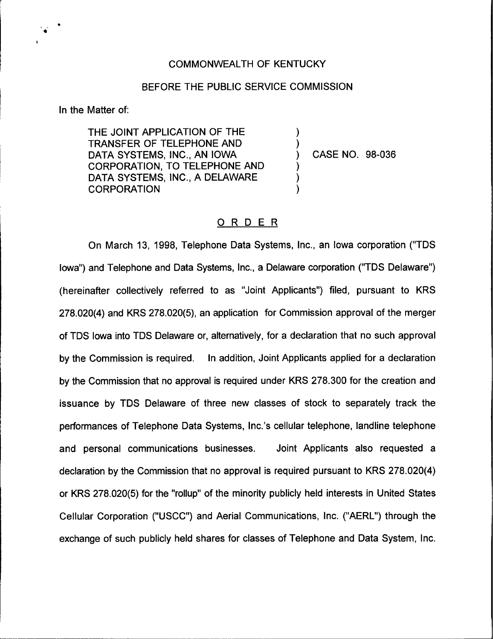## COMMONWEALTH OF KENTUCKY

## BEFORE THE PUBLIC SERVICE COMMISSION

)

)<br>)

) ) )

In the Matter of:

THE JOINT APPLICATION OF THE TRANSFER OF TELEPHONE AND DATA SYSTEMS, INC., AN IOWA CORPORATION, TO TELEPHONE AND DATA SYSTEMS, INC., A DELAWARE **CORPORATION** 

) CASE NO. 98-036

## ORDER

On March 13, 1998, Telephone Data Systems, Inc., an Iowa corporation ("TDS Iowa") and Telephone and Data Systems, Inc., a Delaware corporation ("TDS Delaware") (hereinafter collectively referred to as "Joint Applicants") filed, pursuant to KRS 278.020(4) and KRS 278.020(5), an application for Commission approval of the merger of TDS Iowa into TDS Delaware or, alternatively, for a declaration that no such approval by the Commission is required. In addition, Joint Applicants applied for a declaration by the Commission that no approval is required under KRS 278.300 for the creation and issuance by TDS Delaware of three new classes of stock to separately track the performances of Telephone Data Systems, Inc.'s cellular telephone, landline telephone and personal communications businesses. Joint Applicants also requested a declaration by the Commission that no approval is required pursuant to KRS 2?8.020(4) or KRS 2?8.020(5) for the "rollup" of the minority publicly held interests in United States Cellular Corporation ("USCC") and Aerial Communications, Inc. ("AERL") through the exchange of such publicly held shares for classes of Telephone and Data System, Inc.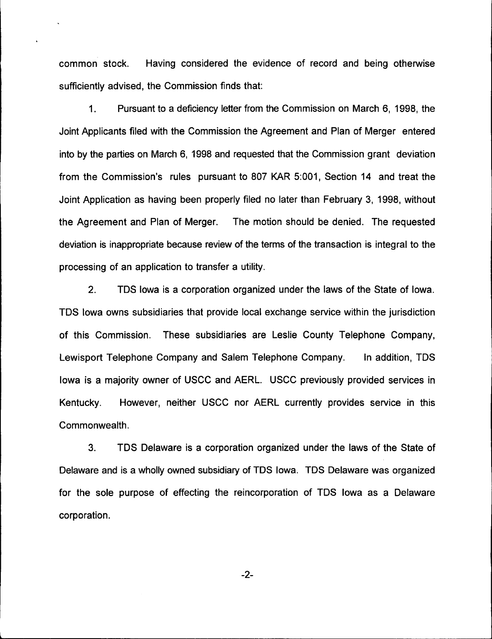common stock. Having considered the evidence of record and being otherwise sufficiently advised, the Commission finds that:

 $1.$ Pursuant to a deficiency letter from the Commission on March 6, 1998, the Joint Applicants filed with the Commission the Agreement and Plan of Merger entered into by the parties on March 6, 1998 and requested that the Commission grant deviation from the Commission's rules pursuant to 807 KAR 5:001, Section 14 and treat the Joint Application as having been properly filed no later than February 3, 1998, without the Agreement and Plan of Merger. The motion should be denied. The requested deviation is inappropriate because review of the terms of the transaction is integral to the processing of an application to transfer a utility.

2. TDS Iowa is a corporation organized under the laws of the State of Iowa. TDS Iowa owns subsidiaries that provide local exchange service within the jurisdiction of this Commission. These subsidiaries are Leslie County Telephone Company, Lewisport Telephone Company and Salem Telephone Company. In addition, TDS Iowa is a majority owner of USCC and AERL. USCC previously provided services in Kentucky. However, neither USCC nor AERL currently provides service in this Commonwealth.

3. TDS Delaware is a corporation organized under the laws of the State of Delaware and is a wholly owned subsidiary of TDS Iowa. TDS Delaware was organized for the sole purpose of effecting the reincorporation of TDS Iowa as a Delaware corporation.

-2-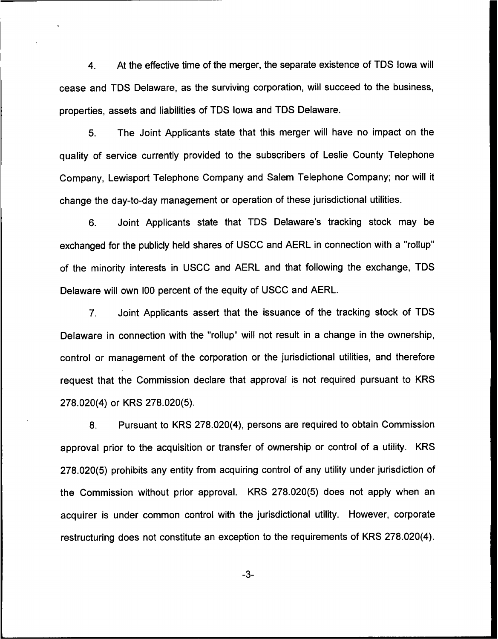4. At the effective time of the merger, the separate existence of TDS iowa will cease and TDS Delaware, as the surviving corporation, will succeed to the business, properties, assets and liabilities of TDS iowa and TDS Delaware.

5. The Joint Applicants state that this merger will have no impact on the quality of service currently provided to the subscribers of Leslie County Telephone Company, Lewisport Telephone Company and Salem Telephone Company; nor will it change the day-to-day management or operation of these jurisdictional utilities.

6. Joint Applicants state that TDS Delaware's tracking stock may be exchanged for the publicly held shares of USCC and AERL in connection with a "rollup" of the minority interests in USCC and AERL and that following the exchange, TDS Delaware will own l00 percent of the equity of USCC and AERL.

7. Joint Applicants assert that the issuance of the tracking stock of TDS Delaware in connection with the "rollup" will not result in a change in the ownership, control or management of the corporation or the jurisdictional utilities, and therefore request that the Commission declare that approval is not required pursuant to KRS 278.020(4) or KRS 278.020(5).

8. Pursuant to KRS 278.020(4), persons are required to obtain Commission approval prior to the acquisition or transfer of ownership or control of a utility. KRS 278.020(5) prohibits any entity from acquiring control of any utility under jurisdiction of the Commission without prior approval. KRS 2?8.020(5) does not apply when an acquirer is under common control with the jurisdictional utility. However, corporate restructuring does not constitute an exception to the requirements of KRS 278.020(4).

-3-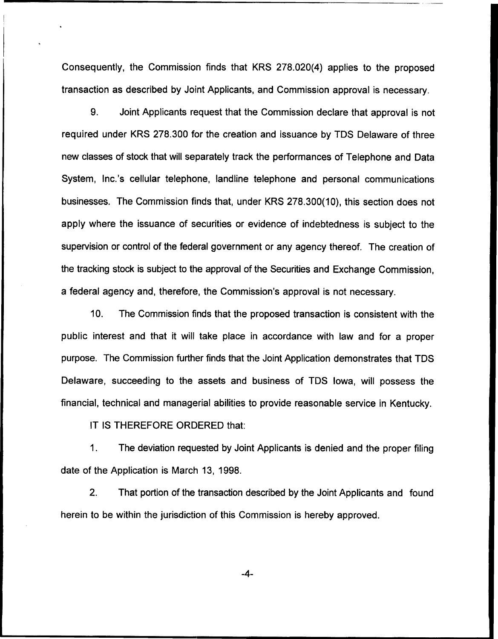Consequently, the Commission finds that KRS 278.020(4) applies to the proposed transaction as described by Joint Applicants, and Commission approval is necessary.

9. Joint Applicants request that the Commission declare that approval is not required under KRS 278.300 for the creation and issuance by TDS Delaware of three new classes of stock that will separately track the performances of Telephone and Data System, Inc.'s cellular telephone, landline telephone and personal communications businesses. The Commission finds that, under KRS 278.300(10), this section does not apply where the issuance of securities or evidence of indebtedness is subject to the supervision or control of the federal government or any agency thereof. The creation of the tracking stock is subject to the approval of the Securities and Exchange Commission, a federal agency and, therefore, the Commission's approval is not necessary.

10. The Commission finds that the proposed transaction is consistent with the public interest and that it will take place in accordance with law and for a proper purpose. The Commission further finds that the Joint Application demonstrates that TDS Delaware, succeeding to the assets and business of TDS Iowa, will possess the financial, technical and managerial abilities to provide reasonable service in Kentucky.

IT IS THEREFORE ORDERED that:

1. The deviation requested by Joint Applicants is denied and the proper filing date of the Application is March 13, 1998.

2. That portion of the transaction described by the Joint Applicants and found herein to be within the jurisdiction of this Commission is hereby approved.

 $-4-$